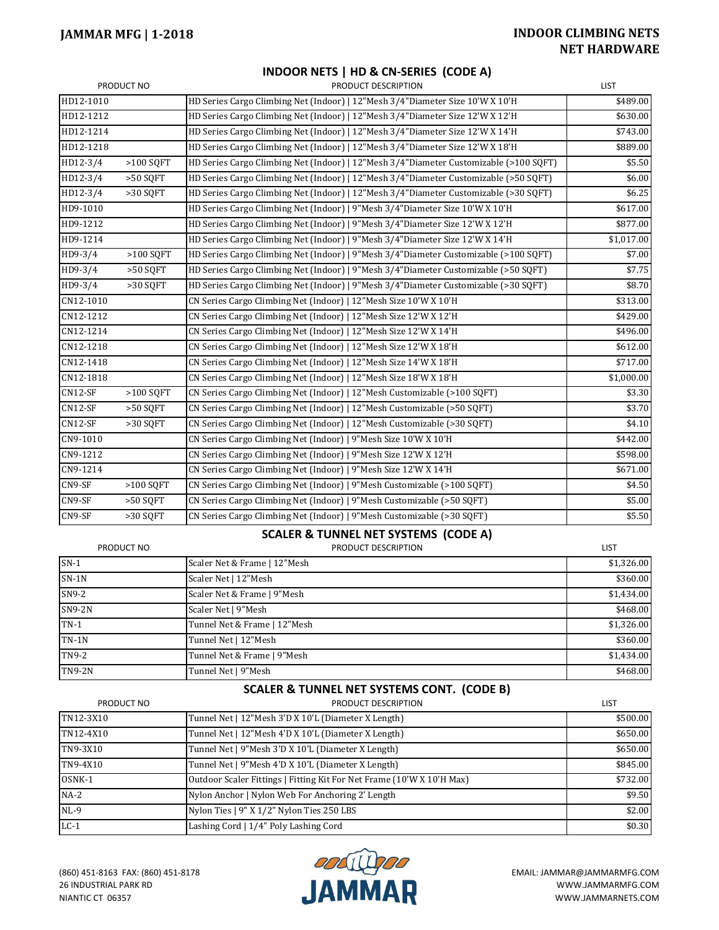## **JAMMAR MFG | 1-2018 INDOOR CLIMBING NETS NET HARDWARE**

|            |             | INDOOR NETS   HD & CN-SERIES (CODE A)                                                 |                      |
|------------|-------------|---------------------------------------------------------------------------------------|----------------------|
| PRODUCT NO |             | PRODUCT DESCRIPTION                                                                   | <b>LIST</b>          |
| HD12-1010  |             | HD Series Cargo Climbing Net (Indoor)   12"Mesh 3/4"Diameter Size 10'W X 10'H         | \$489.00             |
| HD12-1212  |             | HD Series Cargo Climbing Net (Indoor)   12"Mesh 3/4"Diameter Size 12'W X 12'H         | \$630.00             |
| HD12-1214  |             | HD Series Cargo Climbing Net (Indoor)   12"Mesh 3/4"Diameter Size 12'W X 14'H         | \$743.00             |
| HD12-1218  |             | HD Series Cargo Climbing Net (Indoor)   12"Mesh 3/4"Diameter Size 12'W X 18'H         | \$889.00             |
| HD12-3/4   | $>100$ SQFT | HD Series Cargo Climbing Net (Indoor)   12"Mesh 3/4"Diameter Customizable (>100 SQFT) | \$5.50               |
| HD12-3/4   | $>50$ SOFT  | HD Series Cargo Climbing Net (Indoor)   12"Mesh 3/4"Diameter Customizable (>50 SOFT)  | \$6.00               |
| HD12-3/4   | >30 SOFT    | HD Series Cargo Climbing Net (Indoor)   12"Mesh 3/4"Diameter Customizable (>30 SQFT)  | \$6.25               |
| HD9-1010   |             | HD Series Cargo Climbing Net (Indoor)   9"Mesh 3/4"Diameter Size 10'W X 10'H          | \$617.00             |
| HD9-1212   |             | HD Series Cargo Climbing Net (Indoor)   9"Mesh 3/4"Diameter Size 12'W X 12'H          | \$877.00             |
| HD9-1214   |             | HD Series Cargo Climbing Net (Indoor)   9"Mesh 3/4"Diameter Size 12'W X 14'H          | \$1,017.00           |
| HD9-3/4    | $>100$ SQFT | HD Series Cargo Climbing Net (Indoor)   9"Mesh 3/4"Diameter Customizable (>100 SQFT)  | \$7.00               |
| HD9-3/4    | >50 SQFT    | HD Series Cargo Climbing Net (Indoor)   9"Mesh 3/4"Diameter Customizable (>50 SOFT)   | \$7.75               |
| HD9-3/4    | $>30$ SQFT  | HD Series Cargo Climbing Net (Indoor)   9"Mesh 3/4"Diameter Customizable (>30 SQFT)   | \$8.70               |
| CN12-1010  |             | CN Series Cargo Climbing Net (Indoor)   12"Mesh Size 10'W X 10'H                      | $\overline{$}313.00$ |
| CN12-1212  |             | CN Series Cargo Climbing Net (Indoor)   12"Mesh Size 12'W X 12'H                      | \$429.00             |
| CN12-1214  |             | CN Series Cargo Climbing Net (Indoor)   12"Mesh Size 12'W X 14'H                      | \$496.00             |
| CN12-1218  |             | CN Series Cargo Climbing Net (Indoor)   12"Mesh Size 12'W X 18'H                      | $\overline{$612.00}$ |
| CN12-1418  |             | CN Series Cargo Climbing Net (Indoor)   12"Mesh Size 14'W X 18'H                      | \$717.00             |
| CN12-1818  |             | CN Series Cargo Climbing Net (Indoor)   12"Mesh Size 18'W X 18'H                      | \$1,000.00           |
| $CN12-SF$  | $>100$ SQFT | CN Series Cargo Climbing Net (Indoor)   12"Mesh Customizable (>100 SQFT)              | \$3.30               |
| $CN12-SF$  | >50 SOFT    | CN Series Cargo Climbing Net (Indoor)   12"Mesh Customizable (>50 SQFT)               | \$3.70               |
| $CN12-SF$  | >30 SQFT    | CN Series Cargo Climbing Net (Indoor)   12"Mesh Customizable (>30 SQFT)               | \$4.10               |
| CN9-1010   |             | CN Series Cargo Climbing Net (Indoor)   9"Mesh Size 10'W X 10'H                       | \$442.00             |
| CN9-1212   |             | CN Series Cargo Climbing Net (Indoor)   9"Mesh Size 12'W X 12'H                       | \$598.00             |
| CN9-1214   |             | CN Series Cargo Climbing Net (Indoor)   9"Mesh Size 12'W X 14'H                       | \$671.00             |
| CN9-SF     | $>100$ SQFT | CN Series Cargo Climbing Net (Indoor)   9"Mesh Customizable (>100 SQFT)               | \$4.50               |
| CN9-SF     | $>50$ SOFT  | CN Series Cargo Climbing Net (Indoor)   9"Mesh Customizable (>50 SQFT)                | \$5.00               |
| CN9-SF     | >30 SQFT    | CN Series Cargo Climbing Net (Indoor)   9"Mesh Customizable (>30 SQFT)                | \$5.50               |

#### **SCALER & TUNNEL NET SYSTEMS (CODE A)**

| PRODUCT NO    | PRODUCT DESCRIPTION          | LIST       |
|---------------|------------------------------|------------|
| $SN-1$        | Scaler Net & Frame   12"Mesh | \$1,326.00 |
| $SN-1N$       | Scaler Net   12"Mesh         | \$360.00   |
| $SN9-2$       | Scaler Net & Frame   9"Mesh  | \$1,434.00 |
| $SN9-2N$      | Scaler Net   9"Mesh          | \$468.00   |
| $TN-1$        | Tunnel Net & Frame   12"Mesh | \$1,326.00 |
| $TN-1N$       | Tunnel Net   12"Mesh         | \$360.00   |
| TN9-2         | Tunnel Net & Frame   9"Mesh  | \$1,434.00 |
| <b>TN9-2N</b> | Tunnel Net   9"Mesh          | \$468.00   |

### **SCALER & TUNNEL NET SYSTEMS CONT. (CODE B)**

| PRODUCT NO | PRODUCT DESCRIPTION                                                   | <b>LIST</b> |  |
|------------|-----------------------------------------------------------------------|-------------|--|
| TN12-3X10  | Tunnel Net   12"Mesh 3'D X 10'L (Diameter X Length)                   | \$500.00    |  |
| TN12-4X10  | Tunnel Net   12"Mesh 4'D X 10'L (Diameter X Length)                   | \$650.00    |  |
| TN9-3X10   | Tunnel Net   9"Mesh 3'D X 10'L (Diameter X Length)                    | \$650.00    |  |
| TN9-4X10   | Tunnel Net   9"Mesh 4'D X 10'L (Diameter X Length)                    | \$845.00    |  |
| OSNK-1     | Outdoor Scaler Fittings   Fitting Kit For Net Frame (10'W X 10'H Max) | \$732.00    |  |
| $NA-2$     | Nylon Anchor   Nylon Web For Anchoring 2' Length                      | \$9.50      |  |
| $NL-9$     | Nylon Ties   9" X 1/2" Nylon Ties 250 LBS                             | \$2.00      |  |
| $LC-1$     | Lashing Cord   1/4" Poly Lashing Cord                                 | \$0.30      |  |